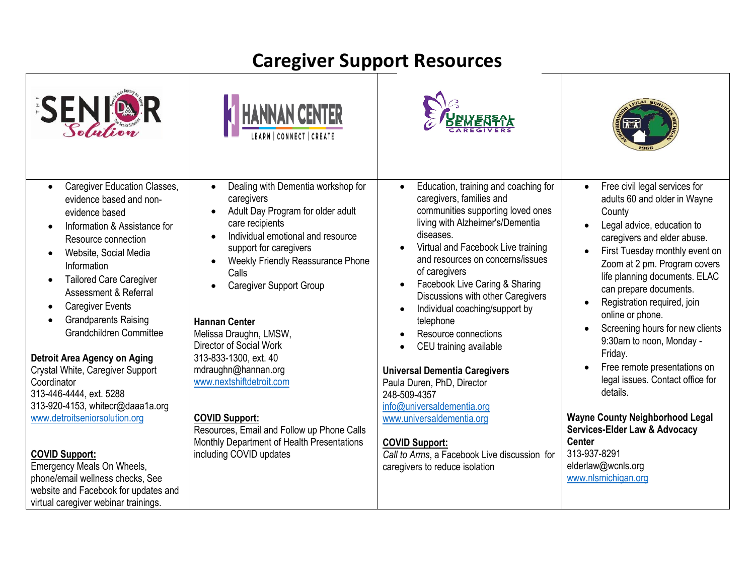# **Caregiver Support Resources**

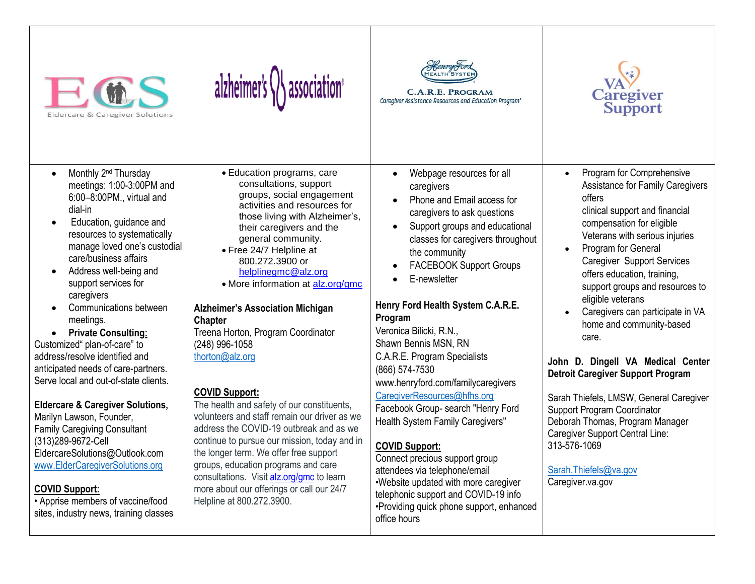





C.A.R.E. PROGRAM Caregiver Assistance Resources and Education Program®



- $\bullet$  Monthly 2<sup>nd</sup> Thursday meetings: 1:00-3:00PM and 6:00–8:00PM., virtual and dial-in
- Education, guidance and resources to systematically manage loved one's custodial care/business affairs
- Address well-being and support services for caregivers
- Communications between meetings.

 **Private Consulting:**  Customized" plan-of-care" to address/resolve identified and anticipated needs of care-partners. Serve local and out-of-state clients.

**Eldercare & Caregiver Solutions,** 

Marilyn Lawson, Founder, Family Caregiving Consultant (313)289-9672-Cell EldercareSolutions@Outlook.com [www.ElderCaregiverSolutions.org](http://www.eldercaregiversolutions.org/) 

#### **COVID Support:**

• Apprise members of vaccine/food sites, industry news, training classes

- Education programs, care consultations, support groups, social engagement activities and resources for those living with Alzheimer's, their caregivers and the general community.
- Free 24/7 Helpline at 800.272.3900 or [helplinegmc@alz.org](mailto:helplinegmc@alz.org)
- More information at [alz.org/gmc](https://linkprotect.cudasvc.com/url?a=http%3a%2f%2falz.org%2fgmc&c=E,1,7y9XKhqBcR5lGhfWchdJ3nnZUk6Lp_OhyHWMXdgvYPm41wcrTMtC8YasHrRjuIXnTj0eWBbqf_RRxcieZ6oWCCugjNBZ6wgr-wbVvvQgK-rtkMmZpFtya73RI-E,&typo=1)

**Alzheimer's Association Michigan Chapter** Treena Horton, Program Coordinator

(248) 996-1058 [thorton@alz.org](mailto:thorton@alz.org)

### **COVID Support:**

The health and safety of our constituents, volunteers and staff remain our driver as we address the COVID-19 outbreak and as we continue to pursue our mission, today and in the longer term. We offer free support groups, education programs and care consultations. Visit [alz.org/gmc](https://linkprotect.cudasvc.com/url?a=http%3a%2f%2falz.org%2fgmc&c=E,1,05LJ0whR_wC9S2e1JmSVX9oWvdBTq6xeuA9v7ercwfZOgWm0ktwaHtxH6fYKg2pwQQodMSMBvIoX75j-Uf4eH83lQLdV7JjVF-C9Sm5iJ6gSA9ElGe3EJJg42w,,&typo=1) to learn more about our offerings or call our 24/7 Helpline at 800.272.3900.

- Webpage resources for all caregivers
- Phone and Email access for caregivers to ask questions
- Support groups and educational classes for caregivers throughout the community
- FACEBOOK Support Groups
- E-newsletter

#### **Henry Ford Health System C.A.R.E. Program**

Veronica Bilicki, R.N., Shawn Bennis MSN, RN C.A.R.E. Program Specialists (866) 574-7530 www.henryford.com/familycaregivers [CaregiverResources@hfhs.org](mailto:CaregiverResources@hfhs.org) Facebook Group- search "Henry Ford Health System Family Caregivers"

## **COVID Support:**

Connect precious support group attendees via telephone/email •Website updated with more caregiver telephonic support and COVID-19 info •Providing quick phone support, enhanced office hours

- Program for Comprehensive Assistance for Family Caregivers offers clinical support and financial compensation for eligible Veterans with serious injuries
- Program for General Caregiver Support Services offers education, training, support groups and resources to eligible veterans
- Caregivers can participate in VA home and community-based care.

#### **John D. Dingell VA Medical Center Detroit Caregiver Support Program**

Sarah Thiefels, LMSW, General Caregiver Support Program Coordinator Deborah Thomas, Program Manager Caregiver Support Central Line: 313-576-1069

[Sarah.Thiefels@va.gov](mailto:Sarah.Thiefels@va.gov) Caregiver.va.gov